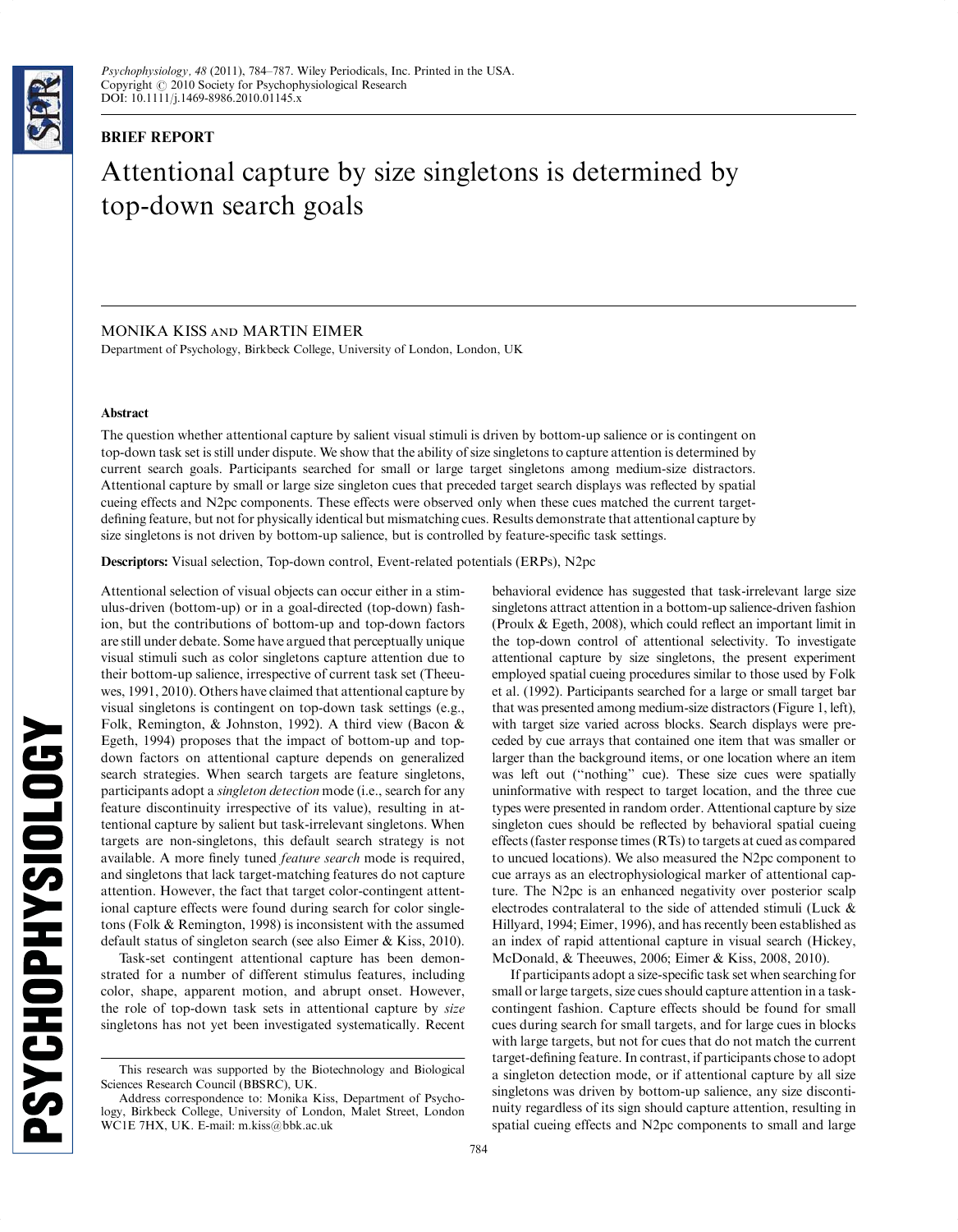

# BRIEF REPORT

# Attentional capture by size singletons is determined by top-down search goals

# MONIKA KISS and MARTIN EIMER

Department of Psychology, Birkbeck College, University of London, London, UK

#### Abstract

The question whether attentional capture by salient visual stimuli is driven by bottom-up salience or is contingent on top-down task set is still under dispute. We show that the ability of size singletons to capture attention is determined by current search goals. Participants searched for small or large target singletons among medium-size distractors. Attentional capture by small or large size singleton cues that preceded target search displays was reflected by spatial cueing effects and N2pc components. These effects were observed only when these cues matched the current targetdefining feature, but not for physically identical but mismatching cues. Results demonstrate that attentional capture by size singletons is not driven by bottom-up salience, but is controlled by feature-specific task settings.

Descriptors: Visual selection, Top-down control, Event-related potentials (ERPs), N2pc

Attentional selection of visual objects can occur either in a stimulus-driven (bottom-up) or in a goal-directed (top-down) fashion, but the contributions of bottom-up and top-down factors are still under debate. Some have argued that perceptually unique visual stimuli such as color singletons capture attention due to their bottom-up salience, irrespective of current task set (Theeuwes, 1991, 2010). Others have claimed that attentional capture by visual singletons is contingent on top-down task settings (e.g., Folk, Remington, & Johnston, 1992). A third view (Bacon & Egeth, 1994) proposes that the impact of bottom-up and topdown factors on attentional capture depends on generalized search strategies. When search targets are feature singletons, participants adopt a *singleton detection* mode (i.e., search for any feature discontinuity irrespective of its value), resulting in attentional capture by salient but task-irrelevant singletons. When targets are non-singletons, this default search strategy is not available. A more finely tuned feature search mode is required, and singletons that lack target-matching features do not capture attention. However, the fact that target color-contingent attentional capture effects were found during search for color singletons (Folk & Remington, 1998) is inconsistent with the assumed default status of singleton search (see also Eimer & Kiss, 2010).

Task-set contingent attentional capture has been demonstrated for a number of different stimulus features, including color, shape, apparent motion, and abrupt onset. However, the role of top-down task sets in attentional capture by size singletons has not yet been investigated systematically. Recent behavioral evidence has suggested that task-irrelevant large size singletons attract attention in a bottom-up salience-driven fashion (Proulx & Egeth, 2008), which could reflect an important limit in the top-down control of attentional selectivity. To investigate attentional capture by size singletons, the present experiment employed spatial cueing procedures similar to those used by Folk et al. (1992). Participants searched for a large or small target bar that was presented among medium-size distractors (Figure 1, left), with target size varied across blocks. Search displays were preceded by cue arrays that contained one item that was smaller or larger than the background items, or one location where an item was left out (''nothing'' cue). These size cues were spatially uninformative with respect to target location, and the three cue types were presented in random order. Attentional capture by size singleton cues should be reflected by behavioral spatial cueing effects (faster response times (RTs) to targets at cued as compared to uncued locations). We also measured the N2pc component to cue arrays as an electrophysiological marker of attentional capture. The N2pc is an enhanced negativity over posterior scalp electrodes contralateral to the side of attended stimuli (Luck & Hillyard, 1994; Eimer, 1996), and has recently been established as an index of rapid attentional capture in visual search (Hickey, McDonald, & Theeuwes, 2006; Eimer & Kiss, 2008, 2010).

If participants adopt a size-specific task set when searching for small or large targets, size cues should capture attention in a taskcontingent fashion. Capture effects should be found for small cues during search for small targets, and for large cues in blocks with large targets, but not for cues that do not match the current target-defining feature. In contrast, if participants chose to adopt a singleton detection mode, or if attentional capture by all size singletons was driven by bottom-up salience, any size discontinuity regardless of its sign should capture attention, resulting in spatial cueing effects and N2pc components to small and large

This research was supported by the Biotechnology and Biological Sciences Research Council (BBSRC), UK.

Address correspondence to: Monika Kiss, Department of Psychology, Birkbeck College, University of London, Malet Street, London WC1E 7HX, UK. E-mail: [m.kiss@bbk.ac.uk](mailto:m.kiss@bbk.ac.uk)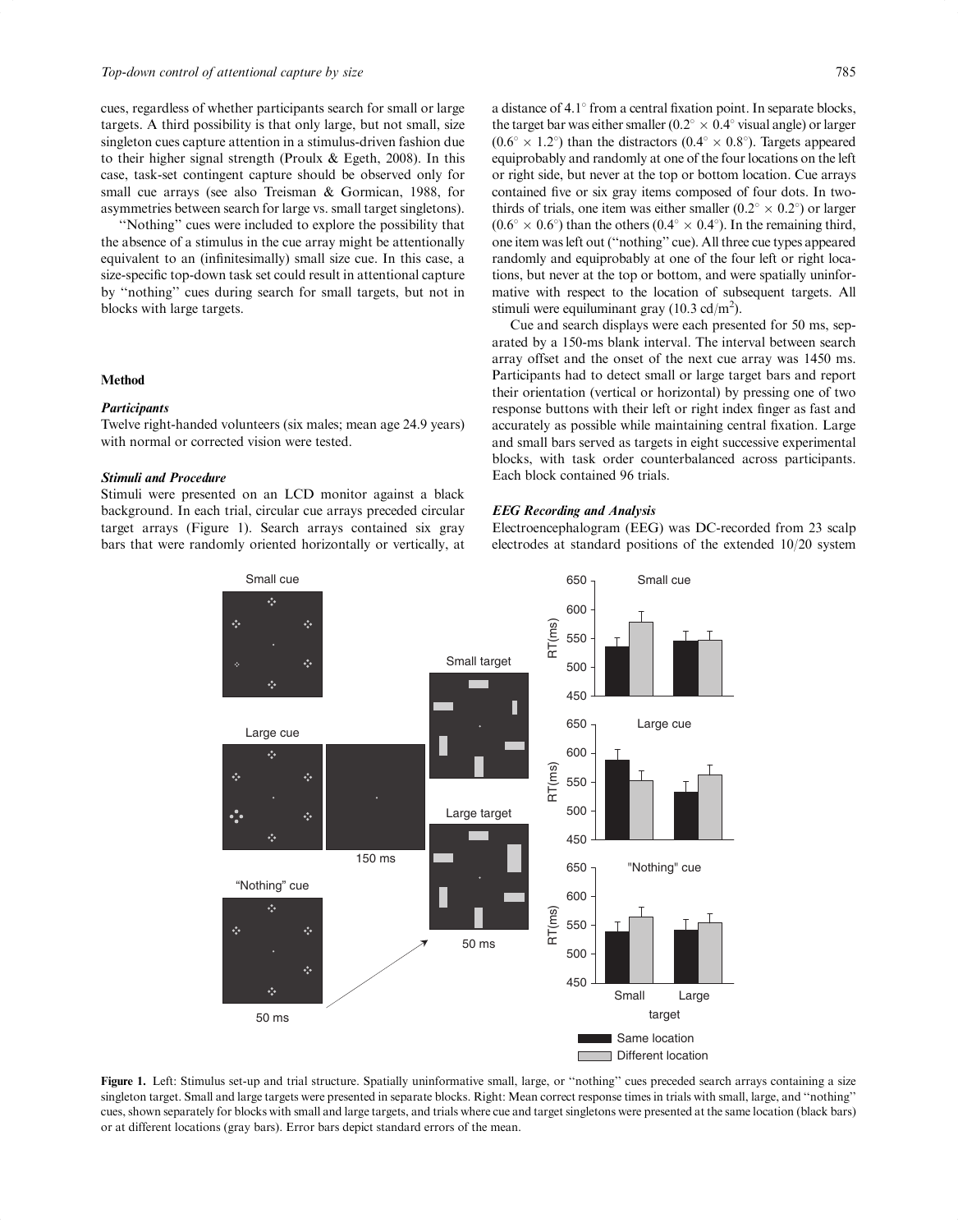cues, regardless of whether participants search for small or large targets. A third possibility is that only large, but not small, size singleton cues capture attention in a stimulus-driven fashion due to their higher signal strength (Proulx & Egeth, 2008). In this case, task-set contingent capture should be observed only for small cue arrays (see also Treisman & Gormican, 1988, for asymmetries between search for large vs. small target singletons).

''Nothing'' cues were included to explore the possibility that the absence of a stimulus in the cue array might be attentionally equivalent to an (infinitesimally) small size cue. In this case, a size-specific top-down task set could result in attentional capture by ''nothing'' cues during search for small targets, but not in blocks with large targets.

#### Method

#### **Participants**

Twelve right-handed volunteers (six males; mean age 24.9 years) with normal or corrected vision were tested.

# Stimuli and Procedure

Stimuli were presented on an LCD monitor against a black background. In each trial, circular cue arrays preceded circular target arrays (Figure 1). Search arrays contained six gray bars that were randomly oriented horizontally or vertically, at a distance of  $4.1^{\circ}$  from a central fixation point. In separate blocks, the target bar was either smaller ( $0.2^{\circ} \times 0.4^{\circ}$  visual angle) or larger  $(0.6^{\circ} \times 1.2^{\circ})$  than the distractors  $(0.4^{\circ} \times 0.8^{\circ})$ . Targets appeared equiprobably and randomly at one of the four locations on the left or right side, but never at the top or bottom location. Cue arrays contained five or six gray items composed of four dots. In twothirds of trials, one item was either smaller  $(0.2^{\circ} \times 0.2^{\circ})$  or larger  $(0.6^{\circ} \times 0.6^{\circ})$  than the others  $(0.4^{\circ} \times 0.4^{\circ})$ . In the remaining third, one item was left out (''nothing'' cue). All three cue types appeared randomly and equiprobably at one of the four left or right locations, but never at the top or bottom, and were spatially uninformative with respect to the location of subsequent targets. All stimuli were equiluminant gray  $(10.3 \text{ cd/m}^2)$ .

Cue and search displays were each presented for 50 ms, separated by a 150-ms blank interval. The interval between search array offset and the onset of the next cue array was 1450 ms. Participants had to detect small or large target bars and report their orientation (vertical or horizontal) by pressing one of two response buttons with their left or right index finger as fast and accurately as possible while maintaining central fixation. Large and small bars served as targets in eight successive experimental blocks, with task order counterbalanced across participants. Each block contained 96 trials.

# EEG Recording and Analysis

Electroencephalogram (EEG) was DC-recorded from 23 scalp electrodes at standard positions of the extended 10/20 system



Figure 1. Left: Stimulus set-up and trial structure. Spatially uninformative small, large, or ''nothing'' cues preceded search arrays containing a size singleton target. Small and large targets were presented in separate blocks. Right: Mean correct response times in trials with small, large, and ''nothing'' cues, shown separately for blocks with small and large targets, and trials where cue and target singletons were presented at the same location (black bars) or at different locations (gray bars). Error bars depict standard errors of the mean.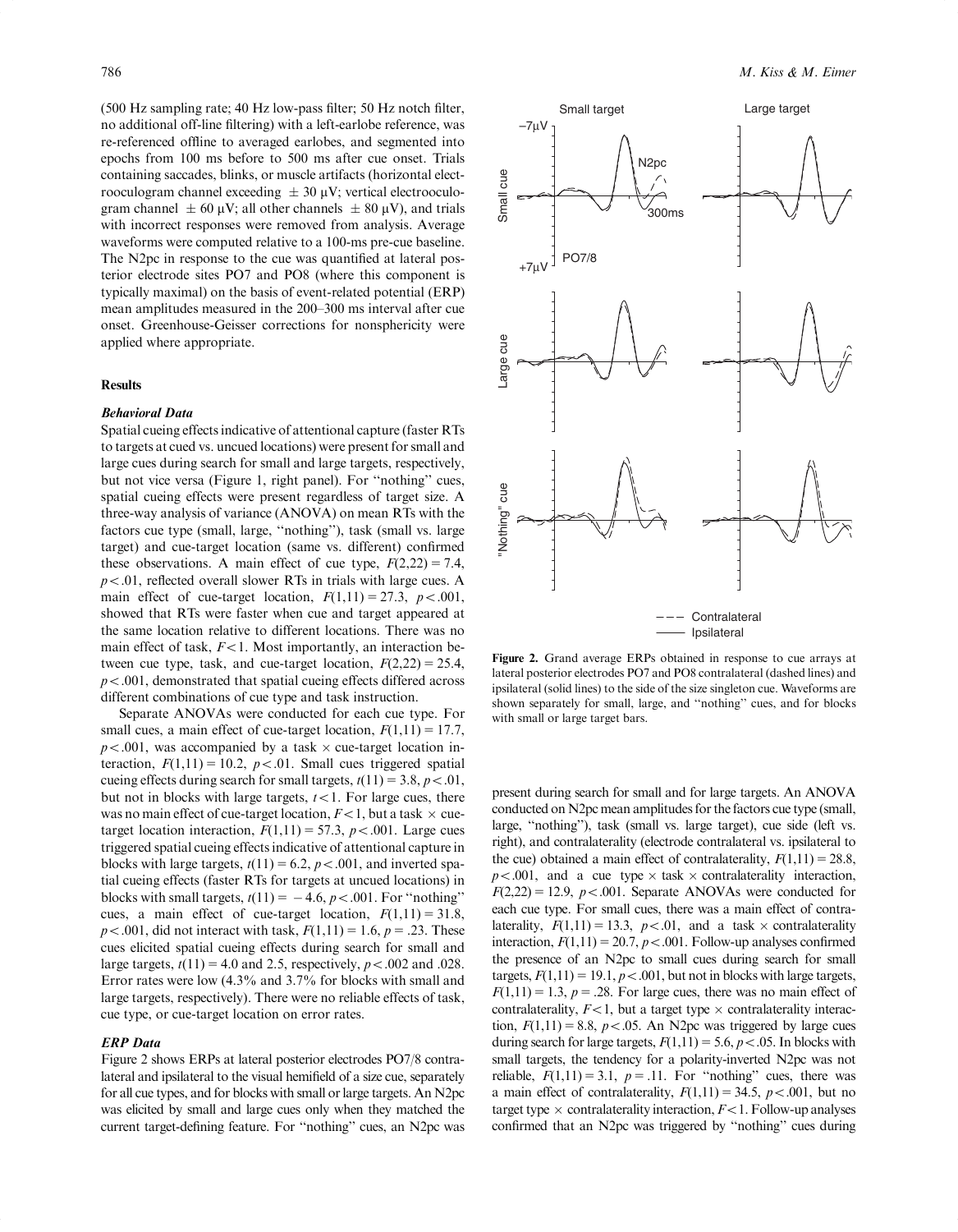(500 Hz sampling rate; 40 Hz low-pass filter; 50 Hz notch filter, no additional off-line filtering) with a left-earlobe reference, was re-referenced offline to averaged earlobes, and segmented into epochs from 100 ms before to 500 ms after cue onset. Trials containing saccades, blinks, or muscle artifacts (horizontal electrooculogram channel exceeding  $\pm 30 \mu V$ ; vertical electrooculogram channel  $\pm 60 \mu V$ ; all other channels  $\pm 80 \mu V$ ), and trials with incorrect responses were removed from analysis. Average waveforms were computed relative to a 100-ms pre-cue baseline. The N2pc in response to the cue was quantified at lateral posterior electrode sites PO7 and PO8 (where this component is typically maximal) on the basis of event-related potential (ERP) mean amplitudes measured in the 200–300 ms interval after cue onset. Greenhouse-Geisser corrections for nonsphericity were applied where appropriate.

# **Results**

### Behavioral Data

Spatial cueing effects indicative of attentional capture (faster RTs to targets at cued vs. uncued locations) were present for small and large cues during search for small and large targets, respectively, but not vice versa (Figure 1, right panel). For ''nothing'' cues, spatial cueing effects were present regardless of target size. A three-way analysis of variance (ANOVA) on mean RTs with the factors cue type (small, large, ''nothing''), task (small vs. large target) and cue-target location (same vs. different) confirmed these observations. A main effect of cue type,  $F(2,22) = 7.4$ ,  $p<.01$ , reflected overall slower RTs in trials with large cues. A main effect of cue-target location,  $F(1,11) = 27.3$ ,  $p < .001$ , showed that RTs were faster when cue and target appeared at the same location relative to different locations. There was no main effect of task,  $F<1$ . Most importantly, an interaction between cue type, task, and cue-target location,  $F(2,22) = 25.4$ ,  $p < .001$ , demonstrated that spatial cueing effects differed across different combinations of cue type and task instruction.

Separate ANOVAs were conducted for each cue type. For small cues, a main effect of cue-target location,  $F(1,11) = 17.7$ ,  $p < .001$ , was accompanied by a task  $\times$  cue-target location interaction,  $F(1,11) = 10.2$ ,  $p < .01$ . Small cues triggered spatial cueing effects during search for small targets,  $t(11) = 3.8$ ,  $p < .01$ , but not in blocks with large targets,  $t < 1$ . For large cues, there was no main effect of cue-target location,  $F<1$ , but a task  $\times$  cuetarget location interaction,  $F(1,11) = 57.3$ ,  $p < .001$ . Large cues triggered spatial cueing effects indicative of attentional capture in blocks with large targets,  $t(11) = 6.2$ ,  $p < .001$ , and inverted spatial cueing effects (faster RTs for targets at uncued locations) in blocks with small targets,  $t(11) = -4.6$ ,  $p < .001$ . For "nothing" cues, a main effect of cue-target location,  $F(1,11) = 31.8$ ,  $p < .001$ , did not interact with task,  $F(1,11) = 1.6$ ,  $p = .23$ . These cues elicited spatial cueing effects during search for small and large targets,  $t(11) = 4.0$  and 2.5, respectively,  $p < .002$  and 0.028. Error rates were low (4.3% and 3.7% for blocks with small and large targets, respectively). There were no reliable effects of task, cue type, or cue-target location on error rates.

#### ERP Data

Figure 2 shows ERPs at lateral posterior electrodes PO7/8 contralateral and ipsilateral to the visual hemifield of a size cue, separately for all cue types, and for blocks with small or large targets. An N2pc was elicited by small and large cues only when they matched the current target-defining feature. For ''nothing'' cues, an N2pc was



Figure 2. Grand average ERPs obtained in response to cue arrays at lateral posterior electrodes PO7 and PO8 contralateral (dashed lines) and ipsilateral (solid lines) to the side of the size singleton cue. Waveforms are shown separately for small, large, and ''nothing'' cues, and for blocks with small or large target bars.

present during search for small and for large targets. An ANOVA conducted on N2pc mean amplitudes for the factors cue type (small, large, ''nothing''), task (small vs. large target), cue side (left vs. right), and contralaterality (electrode contralateral vs. ipsilateral to the cue) obtained a main effect of contralaterality,  $F(1,11) = 28.8$ ,  $p < .001$ , and a cue type  $\times$  task  $\times$  contralaterality interaction,  $F(2,22) = 12.9$ ,  $p < .001$ . Separate ANOVAs were conducted for each cue type. For small cues, there was a main effect of contralaterality,  $F(1,11) = 13.3$ ,  $p < .01$ , and a task  $\times$  contralaterality interaction,  $F(1,11) = 20.7$ ,  $p < .001$ . Follow-up analyses confirmed the presence of an N2pc to small cues during search for small targets,  $F(1,11) = 19.1$ ,  $p < .001$ , but not in blocks with large targets,  $F(1,11) = 1.3$ ,  $p = .28$ . For large cues, there was no main effect of contralaterality,  $F<1$ , but a target type  $\times$  contralaterality interaction,  $F(1,11) = 8.8$ ,  $p < .05$ . An N2pc was triggered by large cues during search for large targets,  $F(1,11) = 5.6$ ,  $p < .05$ . In blocks with small targets, the tendency for a polarity-inverted N2pc was not reliable,  $F(1,11) = 3.1$ ,  $p = .11$ . For "nothing" cues, there was a main effect of contralaterality,  $F(1,11) = 34.5$ ,  $p < .001$ , but no target type  $\times$  contralaterality interaction,  $F<1$ . Follow-up analyses confirmed that an N2pc was triggered by ''nothing'' cues during